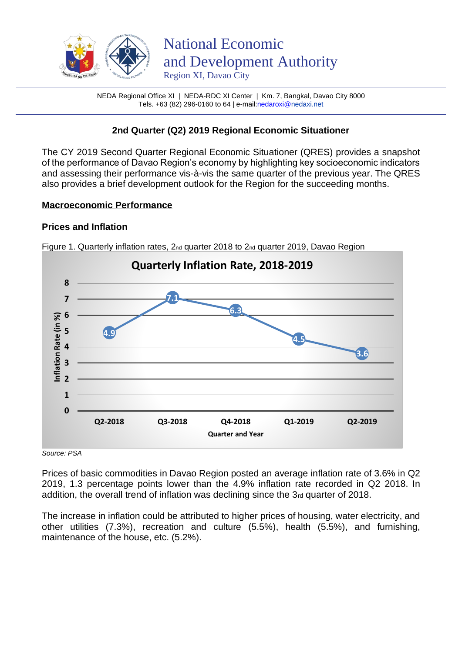

NEDA Regional Office XI | NEDA-RDC XI Center | Km. 7, Bangkal, Davao City 8000 Tels. +63 (82) 296-0160 to 64 | e-mai[l:nedaroxi@n](mailto:nedaroxi@)edaxi.net

# **2nd Quarter (Q2) 2019 Regional Economic Situationer**

The CY 2019 Second Quarter Regional Economic Situationer (QRES) provides a snapshot of the performance of Davao Region's economy by highlighting key socioeconomic indicators and assessing their performance vis-à-vis the same quarter of the previous year. The QRES also provides a brief development outlook for the Region for the succeeding months.

#### **Macroeconomic Performance**

## **Prices and Inflation**



Figure 1. Quarterly inflation rates, 2nd quarter 2018 to 2nd quarter 2019, Davao Region

*Source: PSA* 

Prices of basic commodities in Davao Region posted an average inflation rate of 3.6% in Q2 2019, 1.3 percentage points lower than the 4.9% inflation rate recorded in Q2 2018. In addition, the overall trend of inflation was declining since the 3rd quarter of 2018.

The increase in inflation could be attributed to higher prices of housing, water electricity, and other utilities (7.3%), recreation and culture (5.5%), health (5.5%), and furnishing, maintenance of the house, etc. (5.2%).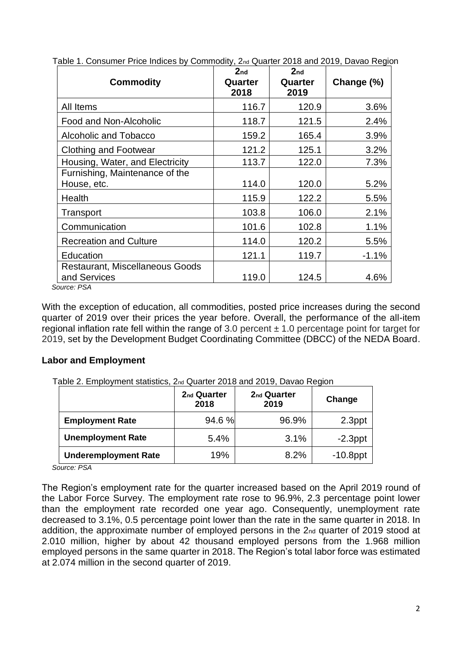| <b>Commodity</b>                       | 2 <sub>nd</sub><br>Quarter<br>2018 | 2 <sub>nd</sub><br>Quarter<br>2019 | Change (%) |
|----------------------------------------|------------------------------------|------------------------------------|------------|
| All Items                              | 116.7                              | 120.9                              | 3.6%       |
| Food and Non-Alcoholic                 | 118.7                              | 121.5                              | 2.4%       |
| Alcoholic and Tobacco                  | 159.2                              | 165.4                              | 3.9%       |
| <b>Clothing and Footwear</b>           | 121.2                              | 125.1                              | 3.2%       |
| Housing, Water, and Electricity        | 113.7                              | 122.0                              | 7.3%       |
| Furnishing, Maintenance of the         |                                    |                                    |            |
| House, etc.                            | 114.0                              | 120.0                              | 5.2%       |
| Health                                 | 115.9                              | 122.2                              | 5.5%       |
| Transport                              | 103.8                              | 106.0                              | 2.1%       |
| Communication                          | 101.6                              | 102.8                              | 1.1%       |
| <b>Recreation and Culture</b>          | 114.0                              | 120.2                              | $5.5\%$    |
| Education                              | 121.1                              | 119.7                              | $-1.1%$    |
| <b>Restaurant, Miscellaneous Goods</b> |                                    |                                    |            |
| and Services<br>. DO 1                 | 119.0                              | 124.5                              | 4.6%       |

Table 1. Consumer Price Indices by Commodity, 2nd Quarter 2018 and 2019, Davao Region

 *Source: PSA* 

With the exception of education, all commodities, posted price increases during the second quarter of 2019 over their prices the year before. Overall, the performance of the all-item regional inflation rate fell within the range of 3.0 percent  $\pm$  1.0 percentage point for target for 2019, set by the Development Budget Coordinating Committee (DBCC) of the NEDA Board.

## **Labor and Employment**

| Table 2. Employment statistics, 2nd Quarter 2018 and 2019, Davao Region |
|-------------------------------------------------------------------------|
|                                                                         |

|                             | 2 <sub>nd</sub> Quarter<br>2018 | 2 <sub>nd</sub> Quarter<br>2019 | Change      |
|-----------------------------|---------------------------------|---------------------------------|-------------|
| <b>Employment Rate</b>      | 94.6 %                          | 96.9%                           | 2.3ppt      |
| <b>Unemployment Rate</b>    | 5.4%                            | 3.1%                            | $-2.3$ ppt  |
| <b>Underemployment Rate</b> | 19%                             | 8.2%                            | $-10.8$ ppt |

*Source: PSA* 

The Region's employment rate for the quarter increased based on the April 2019 round of the Labor Force Survey. The employment rate rose to 96.9%, 2.3 percentage point lower than the employment rate recorded one year ago. Consequently, unemployment rate decreased to 3.1%, 0.5 percentage point lower than the rate in the same quarter in 2018. In addition, the approximate number of employed persons in the 2nd quarter of 2019 stood at 2.010 million, higher by about 42 thousand employed persons from the 1.968 million employed persons in the same quarter in 2018. The Region's total labor force was estimated at 2.074 million in the second quarter of 2019.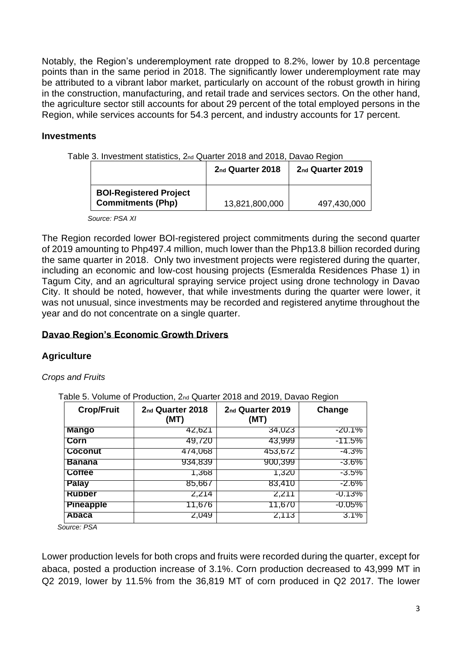Notably, the Region's underemployment rate dropped to 8.2%, lower by 10.8 percentage points than in the same period in 2018. The significantly lower underemployment rate may be attributed to a vibrant labor market, particularly on account of the robust growth in hiring in the construction, manufacturing, and retail trade and services sectors. On the other hand, the agriculture sector still accounts for about 29 percent of the total employed persons in the Region, while services accounts for 54.3 percent, and industry accounts for 17 percent.

## **Investments**

Table 3. Investment statistics, 2nd Quarter 2018 and 2018, Davao Region

|                                                           | 2 <sub>nd</sub> Quarter 2018 | 2nd Quarter 2019 |
|-----------------------------------------------------------|------------------------------|------------------|
| <b>BOI-Registered Project</b><br><b>Commitments (Php)</b> | 13,821,800,000               | 497,430,000      |

*Source: PSA XI*

The Region recorded lower BOI-registered project commitments during the second quarter of 2019 amounting to Php497.4 million, much lower than the Php13.8 billion recorded during the same quarter in 2018. Only two investment projects were registered during the quarter, including an economic and low-cost housing projects (Esmeralda Residences Phase 1) in Tagum City, and an agricultural spraying service project using drone technology in Davao City. It should be noted, however, that while investments during the quarter were lower, it was not unusual, since investments may be recorded and registered anytime throughout the year and do not concentrate on a single quarter.

#### **Davao Region's Economic Growth Drivers**

#### **Agriculture**

#### *Crops and Fruits*

Table 5. Volume of Production, 2nd Quarter 2018 and 2019, Davao Region

| <b>Crop/Fruit</b> | 2 <sub>nd</sub> Quarter 2018<br>(MT) | 2 <sub>nd</sub> Quarter 2019<br>(MT) | Change   |
|-------------------|--------------------------------------|--------------------------------------|----------|
| <b>Mango</b>      | 42,621                               | 34,023                               | -20.1%   |
| <b>Corn</b>       | 49,720                               | 43,999                               | $-11.5%$ |
| <b>Coconut</b>    | 474,068                              | 453,672                              | -4.3%    |
| <b>Banana</b>     | 934,839                              | 900,399                              | -3.6%    |
| <b>Cottee</b>     | 1,368                                | 1,320                                | $-3.5\%$ |
| <b>Palay</b>      | 85,667                               | 83,410                               | -2.6%    |
| <b>Rubber</b>     | 2,214                                | 2,211                                | -0.13%   |
| <b>Pineapple</b>  | 11,676                               | 11,670                               | $-0.05%$ |
| Abaca             | 2,049                                | 2,113                                | 3.1%     |

 *Source: PSA* 

Lower production levels for both crops and fruits were recorded during the quarter, except for abaca, posted a production increase of 3.1%. Corn production decreased to 43,999 MT in Q2 2019, lower by 11.5% from the 36,819 MT of corn produced in Q2 2017. The lower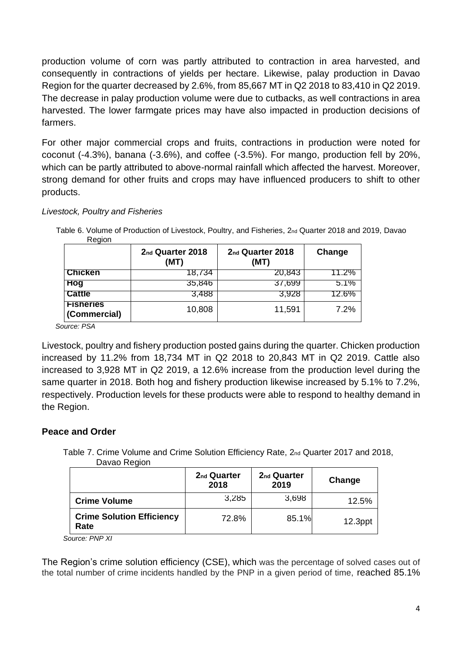production volume of corn was partly attributed to contraction in area harvested, and consequently in contractions of yields per hectare. Likewise, palay production in Davao Region for the quarter decreased by 2.6%, from 85,667 MT in Q2 2018 to 83,410 in Q2 2019. The decrease in palay production volume were due to cutbacks, as well contractions in area harvested. The lower farmgate prices may have also impacted in production decisions of farmers.

For other major commercial crops and fruits, contractions in production were noted for coconut (-4.3%), banana (-3.6%), and coffee (-3.5%). For mango, production fell by 20%, which can be partly attributed to above-normal rainfall which affected the harvest. Moreover, strong demand for other fruits and crops may have influenced producers to shift to other products.

#### *Livestock, Poultry and Fisheries*

| Region                           |                                      |                                      |          |
|----------------------------------|--------------------------------------|--------------------------------------|----------|
|                                  | 2 <sub>nd</sub> Quarter 2018<br>(MT) | 2 <sub>nd</sub> Quarter 2018<br>(MT) | Change   |
| <b>Chicken</b>                   | 18,734                               | 20,843                               | 11.2%    |
| Hog                              | 35,846                               | 37,699                               | 5.1%     |
| <b>Cattle</b>                    | 3,488                                | 3,928                                | $12.6\%$ |
| <b>Fisheries</b><br>(Commercial) | 10,808                               | 11,591                               | 7.2%     |

Table 6. Volume of Production of Livestock, Poultry, and Fisheries, 2nd Quarter 2018 and 2019, Davao Region

 *Source: PSA* 

Livestock, poultry and fishery production posted gains during the quarter. Chicken production increased by 11.2% from 18,734 MT in Q2 2018 to 20,843 MT in Q2 2019. Cattle also increased to 3,928 MT in Q2 2019, a 12.6% increase from the production level during the same quarter in 2018. Both hog and fishery production likewise increased by 5.1% to 7.2%, respectively. Production levels for these products were able to respond to healthy demand in the Region.

## **Peace and Order**

 Table 7. Crime Volume and Crime Solution Efficiency Rate, 2nd Quarter 2017 and 2018, Davao Region

|                                          | 2 <sub>nd</sub> Quarter<br>2018 | 2 <sub>nd</sub> Quarter<br>2019 | Change     |
|------------------------------------------|---------------------------------|---------------------------------|------------|
| <b>Crime Volume</b>                      | 3,285                           | 3,698                           | 12.5%      |
| <b>Crime Solution Efficiency</b><br>Rate | 72.8%                           | 85.1%                           | $12.3$ ppt |

*Source: PNP XI*

The Region's crime solution efficiency (CSE), which was the percentage of solved cases out of the total number of crime incidents handled by the PNP in a given period of time, reached 85.1%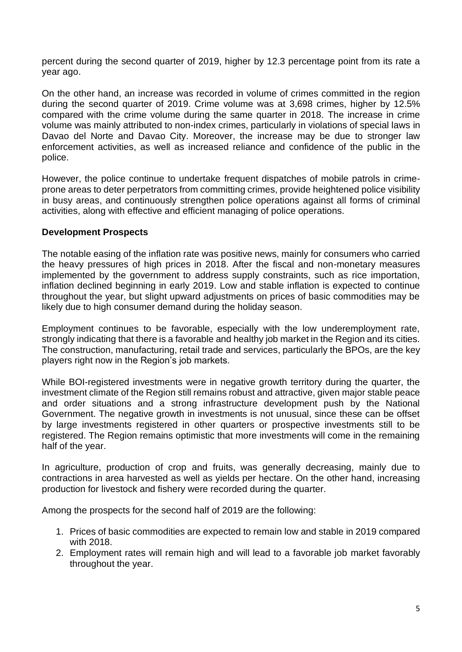percent during the second quarter of 2019, higher by 12.3 percentage point from its rate a year ago.

On the other hand, an increase was recorded in volume of crimes committed in the region during the second quarter of 2019. Crime volume was at 3,698 crimes, higher by 12.5% compared with the crime volume during the same quarter in 2018. The increase in crime volume was mainly attributed to non-index crimes, particularly in violations of special laws in Davao del Norte and Davao City. Moreover, the increase may be due to stronger law enforcement activities, as well as increased reliance and confidence of the public in the police.

However, the police continue to undertake frequent dispatches of mobile patrols in crimeprone areas to deter perpetrators from committing crimes, provide heightened police visibility in busy areas, and continuously strengthen police operations against all forms of criminal activities, along with effective and efficient managing of police operations.

## **Development Prospects**

The notable easing of the inflation rate was positive news, mainly for consumers who carried the heavy pressures of high prices in 2018. After the fiscal and non-monetary measures implemented by the government to address supply constraints, such as rice importation, inflation declined beginning in early 2019. Low and stable inflation is expected to continue throughout the year, but slight upward adjustments on prices of basic commodities may be likely due to high consumer demand during the holiday season.

Employment continues to be favorable, especially with the low underemployment rate, strongly indicating that there is a favorable and healthy job market in the Region and its cities. The construction, manufacturing, retail trade and services, particularly the BPOs, are the key players right now in the Region's job markets.

While BOI-registered investments were in negative growth territory during the quarter, the investment climate of the Region still remains robust and attractive, given major stable peace and order situations and a strong infrastructure development push by the National Government. The negative growth in investments is not unusual, since these can be offset by large investments registered in other quarters or prospective investments still to be registered. The Region remains optimistic that more investments will come in the remaining half of the year.

In agriculture, production of crop and fruits, was generally decreasing, mainly due to contractions in area harvested as well as yields per hectare. On the other hand, increasing production for livestock and fishery were recorded during the quarter.

Among the prospects for the second half of 2019 are the following:

- 1. Prices of basic commodities are expected to remain low and stable in 2019 compared with 2018.
- 2. Employment rates will remain high and will lead to a favorable job market favorably throughout the year.